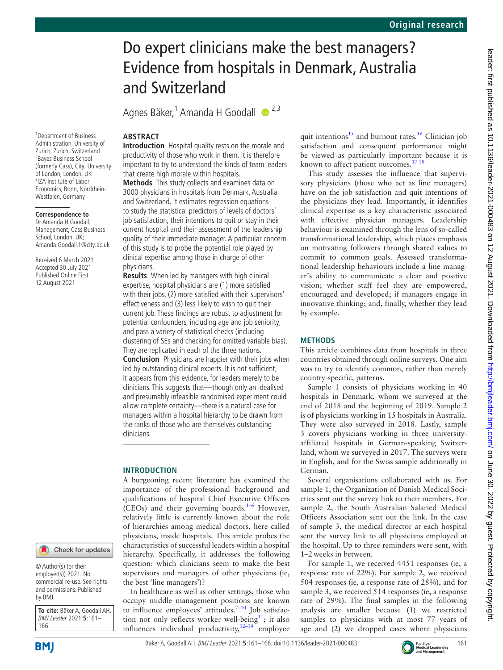# Do expert clinicians make the best managers? Evidence from hospitals in Denmark, Australia and Switzerland

Agnes Bäker,<sup>1</sup> Amanda H Goodall · <sup>2,3</sup>

# **ABSTRACT**

**Introduction** Hospital quality rests on the morale and productivity of those who work in them. It is therefore important to try to understand the kinds of team leaders that create high morale within hospitals.

**Methods** This study collects and examines data on 3000 physicians in hospitals from Denmark, Australia and Switzerland. It estimates regression equations to study the statistical predictors of levels of doctors' job satisfaction, their intentions to quit or stay in their current hospital and their assessment of the leadership quality of their immediate manager. A particular concern of this study is to probe the potential role played by clinical expertise among those in charge of other physicians.

**Results** When led by managers with high clinical expertise, hospital physicians are (1) more satisfied with their jobs, (2) more satisfied with their supervisors' effectiveness and (3) less likely to wish to quit their current job. These findings are robust to adjustment for potential confounders, including age and job seniority, and pass a variety of statistical checks (including clustering of SEs and checking for omitted variable bias). They are replicated in each of the three nations. **Conclusion** Physicians are happier with their jobs when led by outstanding clinical experts. It is not sufficient, it appears from this evidence, for leaders merely to be clinicians. This suggests that—though only an idealised and presumably infeasible randomised experiment could allow complete certainty—there is a natural case for managers within a hospital hierarchy to be drawn from the ranks of those who are themselves outstanding clinicians.

## **INTRODUCTION**

A burgeoning recent literature has examined the importance of the professional background and qualifications of hospital Chief Executive Officers (CEOs) and their governing boards.<sup>1-6</sup> However, relatively little is currently known about the role of hierarchies among medical doctors, here called physicians, inside hospitals. This article probes the characteristics of successful leaders within a hospital hierarchy. Specifically, it addresses the following question: which clinicians seem to make the best supervisors and managers of other physicians (ie, the best 'line managers')?

In healthcare as well as other settings, those who occupy middle management positions are known to influence employees' attitudes. $7-10$  Job satisfac-tion not only reflects worker well-being<sup>[11](#page-5-2)</sup>; it also influences individual productivity, $12-14$  employee

quit intentions<sup>[15](#page-5-4)</sup> and burnout rates.<sup>16</sup> Clinician job satisfaction and consequent performance might be viewed as particularly important because it is known to affect patient outcomes.<sup>[17 18](#page-5-6)</sup>

This study assesses the influence that supervisory physicians (those who act as line managers) have on the job satisfaction and quit intentions of the physicians they lead. Importantly, it identifies clinical expertise as a key characteristic associated with effective physician managers. Leadership behaviour is examined through the lens of so-called transformational leadership, which places emphasis on motivating followers through shared values to commit to common goals. Assessed transformational leadership behaviours include a line manager's ability to communicate a clear and positive vision; whether staff feel they are empowered, encouraged and developed; if managers engage in innovative thinking; and, finally, whether they lead by example.

## **METHODS**

This article combines data from hospitals in three countries obtained through online surveys. One aim was to try to identify common, rather than merely country-specific, patterns.

Sample 1 consists of physicians working in 40 hospitals in Denmark, whom we surveyed at the end of 2018 and the beginning of 2019. Sample 2 is of physicians working in 15 hospitals in Australia. They were also surveyed in 2018. Lastly, sample 3 covers physicians working in three universityaffiliated hospitals in German-speaking Switzerland, whom we surveyed in 2017. The surveys were in English, and for the Swiss sample additionally in German.

Several organisations collaborated with us. For sample 1, the Organization of Danish Medical Societies sent out the survey link to their members. For sample 2, the South Australian Salaried Medical Officers Association sent out the link. In the case of sample 3, the medical director at each hospital sent the survey link to all physicians employed at the hospital. Up to three reminders were sent, with 1–2weeks in between.

For sample 1, we received 4451 responses (ie, a response rate of 22%). For sample 2, we received 504 responses (ie, a response rate of 28%), and for sample 3, we received 514 responses (ie, a response rate of 29%). The final samples in the following analysis are smaller because (1) we restricted samples to physicians with at most 77 years of age and (2) we dropped cases where physicians

1 Department of Business Administration, University of Zurich, Zurich, Switzerland 2 Bayes Business School (formerly Cass), City, University of London, London, UK <sup>3</sup>IZA Institute of Labor Economics, Bonn, Nordrhein-Westfalen, Germany

## **Correspondence to**

Dr Amanda H Goodall, Management, Cass Business School, London, UK; Amanda.Goodall.1@city.ac.uk

Received 6 March 2021 Accepted 30 July 2021 Published Online First 12 August 2021

© Author(s) (or their employer(s)) 2021. No commercial re-use. See rights and permissions. Published by BMJ.

**To cite:** Bäker A, Goodall AH. BMJ Leader 2021;**5**:161– 166.



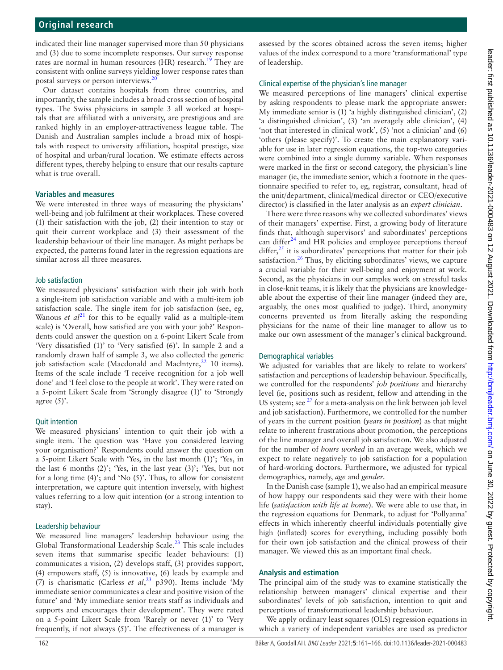indicated their line manager supervised more than 50 physicians and (3) due to some incomplete responses. Our survey response rates are normal in human resources (HR) research.<sup>[19](#page-5-7)</sup> They are consistent with online surveys yielding lower response rates than postal surveys or person interviews.<sup>2</sup>

Our dataset contains hospitals from three countries, and importantly, the sample includes a broad cross section of hospital types. The Swiss physicians in sample 3 all worked at hospitals that are affiliated with a university, are prestigious and are ranked highly in an employer-attractiveness league table. The Danish and Australian samples include a broad mix of hospitals with respect to university affiliation, hospital prestige, size of hospital and urban/rural location. We estimate effects across different types, thereby helping to ensure that our results capture what is true overall.

### **Variables and measures**

We were interested in three ways of measuring the physicians' well-being and job fulfilment at their workplaces. These covered (1) their satisfaction with the job, (2) their intention to stay or quit their current workplace and (3) their assessment of the leadership behaviour of their line manager. As might perhaps be expected, the patterns found later in the regression equations are similar across all three measures.

#### Job satisfaction

We measured physicians' satisfaction with their job with both a single-item job satisfaction variable and with a multi-item job satisfaction scale. The single item for job satisfaction (see, eg, Wanous *et*  $al^{21}$  for this to be equally valid as a multiple-item scale) is 'Overall, how satisfied are you with your job?' Respondents could answer the question on a 6-point Likert Scale from 'Very dissatisfied (1)' to 'Very satisfied (6)'. In sample 2 and a randomly drawn half of sample 3, we also collected the generic job satisfaction scale (Macdonald and Maclntyre, $^{22}$  10 items). Items of the scale include 'I receive recognition for a job well done' and 'I feel close to the people at work'. They were rated on a 5-point Likert Scale from 'Strongly disagree (1)' to 'Strongly agree  $(5)$ .

#### Quit intention

We measured physicians' intention to quit their job with a single item. The question was 'Have you considered leaving your organisation?' Respondents could answer the question on a 5-point Likert Scale with 'Yes, in the last month (1)'; 'Yes, in the last 6 months (2)'; 'Yes, in the last year (3)'; 'Yes, but not for a long time (4)'; and 'No (5)'. Thus, to allow for consistent interpretation, we capture quit intention inversely, with highest values referring to a low quit intention (or a strong intention to stay).

#### Leadership behaviour

We measured line managers' leadership behaviour using the Global Transformational Leadership Scale.<sup>23</sup> This scale includes seven items that summarise specific leader behaviours: (1) communicates a vision, (2) develops staff, (3) provides support, (4) empowers staff, (5) is innovative, (6) leads by example and (7) is charismatic (Carless *et al*, [23](#page-5-11) p390). Items include 'My immediate senior communicates a clear and positive vision of the future' and 'My immediate senior treats staff as individuals and supports and encourages their development'. They were rated on a 5-point Likert Scale from 'Rarely or never (1)' to 'Very frequently, if not always (5)'. The effectiveness of a manager is

assessed by the scores obtained across the seven items; higher values of the index correspond to a more 'transformational' type of leadership.

#### Clinical expertise of the physician's line manager

We measured perceptions of line managers' clinical expertise by asking respondents to please mark the appropriate answer: My immediate senior is (1) 'a highly distinguished clinician', (2) 'a distinguished clinician', (3) 'an averagely able clinician', (4) 'not that interested in clinical work', (5) 'not a clinician' and (6) 'others (please specify)'. To create the main explanatory variable for use in later regression equations, the top-two categories were combined into a single dummy variable. When responses were marked in the first or second category, the physician's line manager (ie, the immediate senior, which a footnote in the questionnaire specified to refer to, eg, registrar, consultant, head of the unit/department, clinical/medical director or CEO/executive director) is classified in the later analysis as an *expert clinician*.

There were three reasons why we collected subordinates' views of their managers' expertise. First, a growing body of literature finds that, although supervisors' and subordinates' perceptions can differ $24$  and HR policies and employee perceptions thereof differ, $25$  it is subordinates' perceptions that matter for their job satisfaction.<sup>26</sup> Thus, by eliciting subordinates' views, we capture a crucial variable for their well-being and enjoyment at work. Second, as the physicians in our samples work on stressful tasks in close-knit teams, it is likely that the physicians are knowledgeable about the expertise of their line manager (indeed they are, arguably, the ones most qualified to judge). Third, anonymity concerns prevented us from literally asking the responding physicians for the name of their line manager to allow us to make our own assessment of the manager's clinical background.

#### Demographical variables

We adjusted for variables that are likely to relate to workers' satisfaction and perceptions of leadership behaviour. Specifically, we controlled for the respondents' *job positions* and hierarchy level (ie, positions such as resident, fellow and attending in the US system; see  $27$  for a meta-analysis on the link between job level and job satisfaction). Furthermore, we controlled for the number of years in the current position (*years in position*) as that might relate to inherent frustrations about promotion, the perceptions of the line manager and overall job satisfaction. We also adjusted for the number of *hours worked* in an average week, which we expect to relate negatively to job satisfaction for a population of hard-working doctors. Furthermore, we adjusted for typical demographics, namely, *age* and *gender*.

In the Danish case (sample 1), we also had an empirical measure of how happy our respondents said they were with their home life (*satisfaction with life at home*). We were able to use that, in the regression equations for Denmark, to adjust for 'Pollyanna' effects in which inherently cheerful individuals potentially give high (inflated) scores for everything, including possibly both for their own job satisfaction and the clinical prowess of their manager. We viewed this as an important final check.

#### **Analysis and estimation**

The principal aim of the study was to examine statistically the relationship between managers' clinical expertise and their subordinates' levels of job satisfaction, intention to quit and perceptions of transformational leadership behaviour.

We apply ordinary least squares (OLS) regression equations in which a variety of independent variables are used as predictor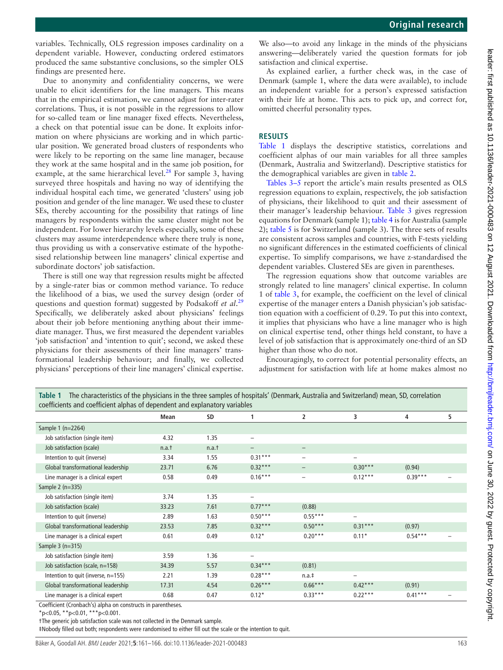variables. Technically, OLS regression imposes cardinality on a dependent variable. However, conducting ordered estimators produced the same substantive conclusions, so the simpler OLS findings are presented here.

Due to anonymity and confidentiality concerns, we were unable to elicit identifiers for the line managers. This means that in the empirical estimation, we cannot adjust for inter-rater correlations. Thus, it is not possible in the regressions to allow for so-called team or line manager fixed effects. Nevertheless, a check on that potential issue can be done. It exploits information on where physicians are working and in which particular position. We generated broad clusters of respondents who were likely to be reporting on the same line manager, because they work at the same hospital and in the same job position, for example, at the same hierarchical level.<sup>28</sup> For sample 3, having surveyed three hospitals and having no way of identifying the individual hospital each time, we generated 'clusters' using job position and gender of the line manager. We used these to cluster SEs, thereby accounting for the possibility that ratings of line managers by respondents within the same cluster might not be independent. For lower hierarchy levels especially, some of these clusters may assume interdependence where there truly is none, thus providing us with a conservative estimate of the hypothesised relationship between line managers' clinical expertise and subordinate doctors' job satisfaction.

There is still one way that regression results might be affected by a single-rater bias or common method variance. To reduce the likelihood of a bias, we used the survey design (order of questions and question format) suggested by Podsakoff *et al*. [29](#page-5-17) Specifically, we deliberately asked about physicians' feelings about their job before mentioning anything about their immediate manager. Thus, we first measured the dependent variables 'job satisfaction' and 'intention to quit'; second, we asked these physicians for their assessments of their line managers' transformational leadership behaviour; and finally, we collected physicians' perceptions of their line managers' clinical expertise.

We also—to avoid any linkage in the minds of the physicians answering—deliberately varied the question formats for job satisfaction and clinical expertise.

As explained earlier, a further check was, in the case of Denmark (sample 1, where the data were available), to include an independent variable for a person's expressed satisfaction with their life at home. This acts to pick up, and correct for, omitted cheerful personality types.

#### **RESULTS**

[Table](#page-2-0) 1 displays the descriptive statistics, correlations and coefficient alphas of our main variables for all three samples (Denmark, Australia and Switzerland). Descriptive statistics for the demographical variables are given in [table](#page-3-0) 2.

[Tables](#page-3-1) 3–5 report the article's main results presented as OLS regression equations to explain, respectively, the job satisfaction of physicians, their likelihood to quit and their assessment of their manager's leadership behaviour. [Table](#page-3-1) 3 gives regression equations for Denmark (sample 1); [table](#page-4-0) 4 is for Australia (sample 2); [table](#page-4-1) 5 is for Switzerland (sample 3). The three sets of results are consistent across samples and countries, with F-tests yielding no significant differences in the estimated coefficients of clinical expertise. To simplify comparisons, we have z-standardised the dependent variables. Clustered SEs are given in parentheses.

The regression equations show that outcome variables are strongly related to line managers' clinical expertise. In column 1 of [table](#page-3-1) 3, for example, the coefficient on the level of clinical expertise of the manager enters a Danish physician's job satisfaction equation with a coefficient of 0.29. To put this into context, it implies that physicians who have a line manager who is high on clinical expertise tend, other things held constant, to have a level of job satisfaction that is approximately one-third of an SD higher than those who do not.

Encouragingly, to correct for potential personality effects, an adjustment for satisfaction with life at home makes almost no

<span id="page-2-0"></span>

| The characteristics of the physicians in the three samples of hospitals' (Denmark, Australia and Switzerland) mean, SD, correlation<br>Table 1<br>coefficients and coefficient alphas of dependent and explanatory variables |       |           |                          |                          |                          |           |   |
|------------------------------------------------------------------------------------------------------------------------------------------------------------------------------------------------------------------------------|-------|-----------|--------------------------|--------------------------|--------------------------|-----------|---|
|                                                                                                                                                                                                                              | Mean  | <b>SD</b> |                          | $\overline{2}$           | 3                        | 4         | 5 |
| Sample 1 (n=2264)                                                                                                                                                                                                            |       |           |                          |                          |                          |           |   |
| Job satisfaction (single item)                                                                                                                                                                                               | 4.32  | 1.35      | $\qquad \qquad -$        |                          |                          |           |   |
| Job satisfaction (scale)                                                                                                                                                                                                     | n.a.t | n.a.t     | $\qquad \qquad -$        | $\qquad \qquad -$        |                          |           |   |
| Intention to quit (inverse)                                                                                                                                                                                                  | 3.34  | 1.55      | $0.31***$                | $\qquad \qquad -$        | -                        |           |   |
| Global transformational leadership                                                                                                                                                                                           | 23.71 | 6.76      | $0.32***$                | $\qquad \qquad -$        | $0.30***$                | (0.94)    |   |
| Line manager is a clinical expert                                                                                                                                                                                            | 0.58  | 0.49      | $0.16***$                | $\overline{\phantom{0}}$ | $0.12***$                | $0.39***$ |   |
| Sample $2$ (n=335)                                                                                                                                                                                                           |       |           |                          |                          |                          |           |   |
| Job satisfaction (single item)                                                                                                                                                                                               | 3.74  | 1.35      | $\overline{\phantom{0}}$ |                          |                          |           |   |
| Job satisfaction (scale)                                                                                                                                                                                                     | 33.23 | 7.61      | $0.77***$                | (0.88)                   |                          |           |   |
| Intention to quit (inverse)                                                                                                                                                                                                  | 2.89  | 1.63      | $0.50***$                | $0.55***$                | $\overline{\phantom{0}}$ |           |   |
| Global transformational leadership                                                                                                                                                                                           | 23.53 | 7.85      | $0.32***$                | $0.50***$                | $0.31***$                | (0.97)    |   |
| Line manager is a clinical expert                                                                                                                                                                                            | 0.61  | 0.49      | $0.12*$                  | $0.20***$                | $0.11*$                  | $0.54***$ |   |
| Sample $3(n=315)$                                                                                                                                                                                                            |       |           |                          |                          |                          |           |   |
| Job satisfaction (single item)                                                                                                                                                                                               | 3.59  | 1.36      | -                        |                          |                          |           |   |
| Job satisfaction (scale, n=158)                                                                                                                                                                                              | 34.39 | 5.57      | $0.34***$                | (0.81)                   |                          |           |   |
| Intention to quit (inverse, n=155)                                                                                                                                                                                           | 2.21  | 1.39      | $0.28***$                | $n.a.$ #                 | $\overline{\phantom{0}}$ |           |   |
| Global transformational leadership                                                                                                                                                                                           | 17.31 | 4.54      | $0.26***$                | $0.66***$                | $0.42***$                | (0.91)    |   |
| Line manager is a clinical expert<br>$\sigma$ . After the set $\sigma$ such a stability of the set of the set of the set of the set                                                                                          | 0.68  | 0.47      | $0.12*$                  | $0.33***$                | $0.22***$                | $0.41***$ |   |

Coefficient (Cronbach's) alpha on constructs in parentheses.

 $*p<0.05$ ,  $*p<0.01$ ,  $**p<0.001$ .

†The generic job satisfaction scale was not collected in the Denmark sample.

‡Nobody filled out both; respondents were randomised to either fill out the scale or the intention to quit.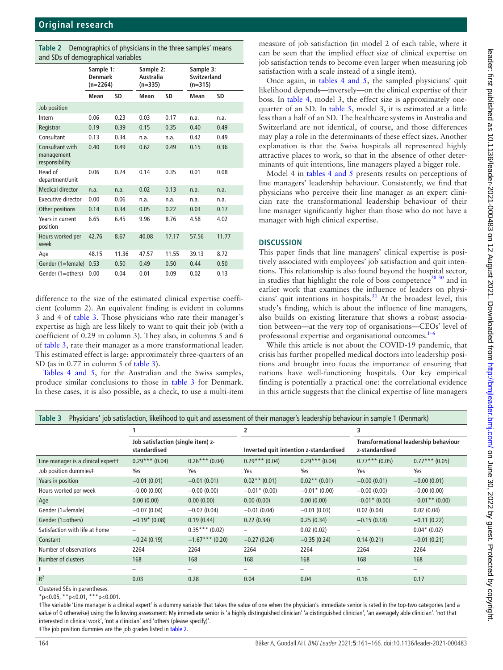<span id="page-3-0"></span>

| Table 2 Demographics of physicians in the three samples' means |
|----------------------------------------------------------------|
| and SDs of demographical variables                             |

| ana 585 or acmograpmear variables               |                                           |       |                                     |       |                                              |       |  |  |
|-------------------------------------------------|-------------------------------------------|-------|-------------------------------------|-------|----------------------------------------------|-------|--|--|
|                                                 | Sample 1:<br><b>Denmark</b><br>$(n=2264)$ |       | Sample 2:<br>Australia<br>$(n=335)$ |       | Sample 3:<br><b>Switzerland</b><br>$(n=315)$ |       |  |  |
|                                                 | Mean                                      | SD    | Mean                                | SD    | Mean                                         | SD    |  |  |
| Job position                                    |                                           |       |                                     |       |                                              |       |  |  |
| Intern                                          | 0.06                                      | 0.23  | 0.03                                | 0.17  | n.a.                                         | n.a.  |  |  |
| Registrar                                       | 0.19                                      | 0.39  | 0.15                                | 0.35  | 0.40                                         | 0.49  |  |  |
| Consultant                                      | 0.13                                      | 0.34  | n.a.                                | n.a.  | 0.42                                         | 0.49  |  |  |
| Consultant with<br>management<br>responsibility | 0.40                                      | 0.49  | 0.62                                | 0.49  | 0.15                                         | 0.36  |  |  |
| Head of<br>department/unit                      | 0.06                                      | 0.24  | 0.14                                | 0.35  | 0.01                                         | 0.08  |  |  |
| <b>Medical director</b>                         | n.a.                                      | n.a.  | 0.02                                | 0.13  | n.a.                                         | n.a.  |  |  |
| Executive director                              | 0.00                                      | 0.06  | n.a.                                | n.a.  | n.a.                                         | n.a.  |  |  |
| Other positions                                 | 0.14                                      | 0.34  | 0.05                                | 0.22  | 0.03                                         | 0.17  |  |  |
| Years in current<br>position                    | 6.65                                      | 6.45  | 9.96                                | 8.76  | 4.58                                         | 4.02  |  |  |
| Hours worked per<br>week                        | 42.76                                     | 8.67  | 40.08                               | 17.17 | 57.56                                        | 11.77 |  |  |
| Age                                             | 48.15                                     | 11.36 | 47.57                               | 11.55 | 39.13                                        | 8.72  |  |  |
| Gender (1=female)                               | 0.53                                      | 0.50  | 0.49                                | 0.50  | 0.44                                         | 0.50  |  |  |
| Gender (1=others)                               | 0.00                                      | 0.04  | 0.01                                | 0.09  | 0.02                                         | 0.13  |  |  |

difference to the size of the estimated clinical expertise coefficient (column 2). An equivalent finding is evident in columns 3 and 4 of [table](#page-3-1) 3. Those physicians who rate their manager's expertise as high are less likely to want to quit their job (with a coefficient of 0.29 in column 3). They also, in columns 5 and 6 of [table](#page-3-1) 3, rate their manager as a more transformational leader. This estimated effect is large: approximately three-quarters of an SD (as in 0.77 in column 5 of [table](#page-3-1) 3).

Tables [4 and 5,](#page-4-0) for the Australian and the Swiss samples, produce similar conclusions to those in [table](#page-3-1) 3 for Denmark. In these cases, it is also possible, as a check, to use a multi-item

measure of job satisfaction (in model 2 of each table, where it can be seen that the implied effect size of clinical expertise on job satisfaction tends to become even larger when measuring job satisfaction with a scale instead of a single item).

Once again, in tables [4 and 5](#page-4-0), the sampled physicians' quit likelihood depends—inversely—on the clinical expertise of their boss. In [table](#page-4-0) 4, model 3, the effect size is approximately onequarter of an SD. In [table](#page-4-1) 5, model 3, it is estimated at a little less than a half of an SD. The healthcare systems in Australia and Switzerland are not identical, of course, and those differences may play a role in the determinants of these effect sizes. Another explanation is that the Swiss hospitals all represented highly attractive places to work, so that in the absence of other determinants of quit intentions, line managers played a bigger role.

Model 4 in tables [4 and 5](#page-4-0) presents results on perceptions of line managers' leadership behaviour. Consistently, we find that physicians who perceive their line manager as an expert clinician rate the transformational leadership behaviour of their line manager significantly higher than those who do not have a manager with high clinical expertise.

## **DISCUSSION**

This paper finds that line managers' clinical expertise is positively associated with employees' job satisfaction and quit intentions. This relationship is also found beyond the hospital sector, in studies that highlight the role of boss competence<sup>28 30</sup> and in earlier work that examines the influence of leaders on physicians' quit intentions in hospitals. $31$  At the broadest level, this study's finding, which is about the influence of line managers, also builds on existing literature that shows a robust association between—at the very top of organisations—CEOs' level of professional expertise and organisational outcomes.<sup>1-6</sup>

While this article is not about the COVID-19 pandemic, that crisis has further propelled medical doctors into leadership positions and brought into focus the importance of ensuring that nations have well-functioning hospitals. Our key empirical finding is potentially a practical one: the correlational evidence in this article suggests that the clinical expertise of line managers

<span id="page-3-1"></span>

|  |  |  |  |  | Table 3 Physicians' job satisfaction, likelihood to quit and assessment of their manager's leadership behaviour in sample 1 (Denmark) |  |  |
|--|--|--|--|--|---------------------------------------------------------------------------------------------------------------------------------------|--|--|
|--|--|--|--|--|---------------------------------------------------------------------------------------------------------------------------------------|--|--|

|                                    | Job satisfaction (single item) z-<br>standardised |                          | 2                                      |                          | 3                                                       |                  |
|------------------------------------|---------------------------------------------------|--------------------------|----------------------------------------|--------------------------|---------------------------------------------------------|------------------|
|                                    |                                                   |                          | Inverted quit intention z-standardised |                          | Transformational leadership behaviour<br>z-standardised |                  |
| Line manager is a clinical expertt | $0.29***$ (0.04)                                  | $0.26***(0.04)$          | $0.29***$ (0.04)                       | $0.29***$ (0.04)         | $0.77***(0.05)$                                         | $0.77***$ (0.05) |
| Job position dummies‡              | Yes                                               | Yes                      | Yes                                    | Yes                      | Yes                                                     | Yes              |
| Years in position                  | $-0.01(0.01)$                                     | $-0.01(0.01)$            | $0.02**$ (0.01)                        | $0.02$ ** (0.01)         | $-0.00(0.01)$                                           | $-0.00(0.01)$    |
| Hours worked per week              | $-0.00(0.00)$                                     | $-0.00(0.00)$            | $-0.01$ $*(0.00)$                      | $-0.01$ * (0.00)         | $-0.00(0.00)$                                           | $-0.00(0.00)$    |
| Age                                | 0.00(0.00)                                        | 0.00(0.00)               | 0.00(0.00)                             | 0.00(0.00)               | $-0.01$ $*(0.00)$                                       | $-0.01**$ (0.00) |
| Gender (1=female)                  | $-0.07(0.04)$                                     | $-0.07(0.04)$            | $-0.01(0.04)$                          | $-0.01(0.03)$            | 0.02(0.04)                                              | 0.02(0.04)       |
| Gender (1=others)                  | $-0.19*$ (0.08)                                   | 0.19(0.44)               | 0.22(0.34)                             | 0.25(0.34)               | $-0.15(0.18)$                                           | $-0.11(0.22)$    |
| Satisfaction with life at home     |                                                   | $0.35***(0.02)$          |                                        | 0.02(0.02)               | $\overline{\phantom{0}}$                                | $0.04*$ (0.02)   |
| Constant                           | $-0.24(0.19)$                                     | $-1.67$ *** (0.20)       | $-0.27(0.24)$                          | $-0.35(0.24)$            | 0.14(0.21)                                              | $-0.01(0.21)$    |
| Number of observations             | 2264                                              | 2264                     | 2264                                   | 2264                     | 2264                                                    | 2264             |
| Number of clusters                 | 168                                               | 168                      | 168                                    | 168                      | 168                                                     | 168              |
| F                                  | -                                                 | $\overline{\phantom{0}}$ | $\overline{\phantom{0}}$               | $\overline{\phantom{a}}$ | $\overline{\phantom{0}}$                                | $\qquad \qquad$  |
| $R^2$                              | 0.03                                              | 0.28                     | 0.04                                   | 0.04                     | 0.16                                                    | 0.17             |

Clustered SEs in parentheses.

 $*$ p<0.05,  $*$  $*$ p<0.01,  $*$  $*$  $*$ p<0.001.

†The variable 'Line manager is a clinical expert' is a dummy variable that takes the value of one when the physician's immediate senior is rated in the top-two categories (and a value of 0 otherwise) using the following assessment: My immediate senior is 'a highly distinguished clinician' 'a distinguished clinician', 'an averagely able clinician'. 'not that interested in clinical work', 'not a clinician' and 'others (please specify)'.

‡The job position dummies are the job grades listed in [table 2](#page-3-0).

leader: first published as 10.1136/leader-2021-000483 on 12 August 2021. Downloaded from http://bmjleader.bmj.com/ on June 30, 2022 by guest. Protected by copyright leader: tirst published as 10.1136/leader-2021-000483 on 12 August 2021. Downloaded from <http://bmjleader.bmj.com/> on June 30, 2022 by guest. Protected by copyright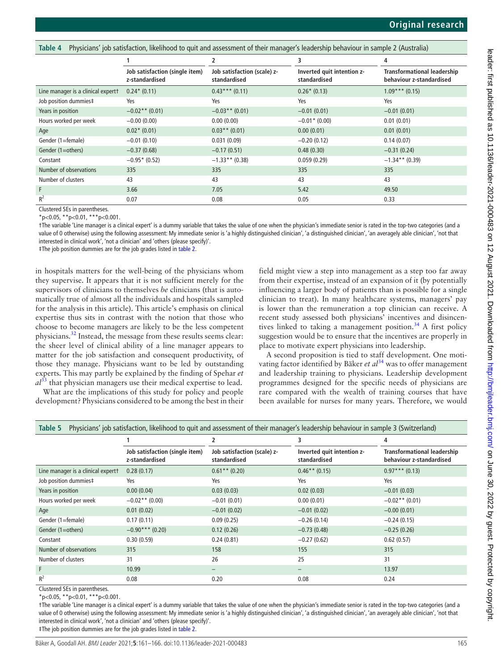<span id="page-4-0"></span>

|  |  | Table 4 Physicians' job satisfaction, likelihood to quit and assessment of their manager's leadership behaviour in sample 2 (Australia) |  |  |  |
|--|--|-----------------------------------------------------------------------------------------------------------------------------------------|--|--|--|
|  |  |                                                                                                                                         |  |  |  |

|                                    |                                                  |                                             | 3                                          | 4                                                              |  |
|------------------------------------|--------------------------------------------------|---------------------------------------------|--------------------------------------------|----------------------------------------------------------------|--|
|                                    | Job satisfaction (single item)<br>z-standardised | Job satisfaction (scale) z-<br>standardised | Inverted quit intention z-<br>standardised | <b>Transformational leadership</b><br>behaviour z-standardised |  |
| Line manager is a clinical expertt | $0.24*(0.11)$                                    | $0.43***(0.11)$                             | $0.26*(0.13)$                              | $1.09***(0.15)$                                                |  |
| Job position dummies‡              | Yes                                              | Yes                                         | Yes                                        | Yes                                                            |  |
| Years in position                  | $-0.02**$ (0.01)                                 | $-0.03**$ (0.01)                            | $-0.01(0.01)$                              | $-0.01(0.01)$                                                  |  |
| Hours worked per week              | $-0.00(0.00)$                                    | 0.00(0.00)                                  | $-0.01*(0.00)$                             | 0.01(0.01)                                                     |  |
| Age                                | $0.02*$ (0.01)                                   | $0.03**$ (0.01)                             | 0.00(0.01)                                 | 0.01(0.01)                                                     |  |
| Gender (1=female)                  | $-0.01(0.10)$                                    | 0.031(0.09)                                 | $-0.20(0.12)$                              | 0.14(0.07)                                                     |  |
| Gender (1=others)                  | $-0.37(0.68)$                                    | $-0.17(0.51)$                               | 0.48(0.30)                                 | $-0.31(0.24)$                                                  |  |
| Constant                           | $-0.95*$ (0.52)                                  | $-1.33**$ (0.38)                            | 0.059(0.29)                                | $-1.34**$ (0.39)                                               |  |
| Number of observations             | 335                                              | 335                                         | 335                                        | 335                                                            |  |
| Number of clusters                 | 43                                               | 43                                          | 43                                         | 43                                                             |  |
| F                                  | 3.66                                             | 7.05                                        | 5.42                                       | 49.50                                                          |  |
| $R^2$                              | 0.07                                             | 0.08                                        | 0.05                                       | 0.33                                                           |  |

Clustered SEs in parentheses.

 $*_{p<0.05}$ ,  $*_{p<0.01}$ ,  $*_{p<0.001}$ .

†The variable 'Line manager is a clinical expert' is a dummy variable that takes the value of one when the physician's immediate senior is rated in the top-two categories (and a value of 0 otherwise) using the following assessment: My immediate senior is 'a highly distinguished clinician', 'a distinguished clinician', 'an averagely able clinician', 'not that interested in clinical work', 'not a clinician' and 'others (please specify)'.

‡The job position dummies are for the job grades listed in [table 2](#page-3-0).

in hospitals matters for the well-being of the physicians whom they supervise. It appears that it is not sufficient merely for the supervisors of clinicians to themselves *be* clinicians (that is automatically true of almost all the individuals and hospitals sampled for the analysis in this article). This article's emphasis on clinical expertise thus sits in contrast with the notion that those who choose to become managers are likely to be the less competent physicians.[32](#page-5-19) Instead, the message from these results seems clear: the sheer level of clinical ability of a line manager appears to matter for the job satisfaction and consequent productivity, of those they manage. Physicians want to be led by outstanding experts. This may partly be explained by the finding of Spehar *et al*[33](#page-5-20) that physician managers use their medical expertise to lead.

What are the implications of this study for policy and people development? Physicians considered to be among the best in their

field might view a step into management as a step too far away from their expertise, instead of an expansion of it (by potentially influencing a larger body of patients than is possible for a single clinician to treat). In many healthcare systems, managers' pay is lower than the remuneration a top clinician can receive. A recent study assessed both physicians' incentives and disincentives linked to taking a management position.<sup>34</sup> A first policy suggestion would be to ensure that the incentives are properly in place to motivate expert physicians into leadership.

A second proposition is tied to staff development. One motivating factor identified by Bäker *et al*[34](#page-5-21) was to offer management and leadership training to physicians. Leadership development programmes designed for the specific needs of physicians are rare compared with the wealth of training courses that have been available for nurses for many years. Therefore, we would

<span id="page-4-1"></span>

| Physicians' job satisfaction, likelihood to quit and assessment of their manager's leadership behaviour in sample 3 (Switzerland)<br>Table 5 |                                                  |                                             |                                            |                                                                |  |  |  |  |
|----------------------------------------------------------------------------------------------------------------------------------------------|--------------------------------------------------|---------------------------------------------|--------------------------------------------|----------------------------------------------------------------|--|--|--|--|
|                                                                                                                                              |                                                  | 2                                           | 3                                          | 4                                                              |  |  |  |  |
|                                                                                                                                              | Job satisfaction (single item)<br>z-standardised | Job satisfaction (scale) z-<br>standardised | Inverted quit intention z-<br>standardised | <b>Transformational leadership</b><br>behaviour z-standardised |  |  |  |  |
| Line manager is a clinical expertt                                                                                                           | 0.28(0.17)                                       | $0.61**$ (0.20)                             | $0.46**$ (0.15)                            | $0.97***$ (0.13)                                               |  |  |  |  |
| Job position dummies‡                                                                                                                        | Yes                                              | Yes                                         | Yes                                        | Yes                                                            |  |  |  |  |
| Years in position                                                                                                                            | 0.00(0.04)                                       | 0.03(0.03)                                  | 0.02(0.03)                                 | $-0.01(0.03)$                                                  |  |  |  |  |
| Hours worked per week                                                                                                                        | $-0.02**$ (0.00)                                 | $-0.01(0.01)$                               | 0.00(0.01)                                 | $-0.02$ ** (0.01)                                              |  |  |  |  |
| Age                                                                                                                                          | 0.01(0.02)                                       | $-0.01(0.02)$                               | $-0.01(0.02)$                              | $-0.00(0.01)$                                                  |  |  |  |  |
| Gender (1=female)                                                                                                                            | 0.17(0.11)                                       | 0.09(0.25)                                  | $-0.26(0.14)$                              | $-0.24(0.15)$                                                  |  |  |  |  |
| Gender (1=others)                                                                                                                            | $-0.90***$ (0.20)                                | 0.12(0.26)                                  | $-0.73(0.48)$                              | $-0.25(0.26)$                                                  |  |  |  |  |
| Constant                                                                                                                                     | 0.30(0.59)                                       | 0.24(0.81)                                  | $-0.27(0.62)$                              | 0.62(0.57)                                                     |  |  |  |  |
| Number of observations                                                                                                                       | 315                                              | 158                                         | 155                                        | 315                                                            |  |  |  |  |
| Number of clusters                                                                                                                           | 31                                               | 26                                          | 25                                         | 31                                                             |  |  |  |  |
| F                                                                                                                                            | 10.99                                            |                                             |                                            | 13.97                                                          |  |  |  |  |
| $R^2$                                                                                                                                        | 0.08                                             | 0.20                                        | 0.08                                       | 0.24                                                           |  |  |  |  |

Clustered SEs in parentheses.

 $*_{p<0.05}$ ,  $*_{p<0.01}$ ,  $*_{*p<0.001}$ .

†The variable 'Line manager is a clinical expert' is a dummy variable that takes the value of one when the physician's immediate senior is rated in the top-two categories (and a value of 0 otherwise) using the following assessment: My immediate senior is 'a highly distinguished clinician', 'a distinguished clinician', 'an averagely able clinician', 'not that interested in clinical work', 'not a clinician' and 'others (please specify)'.

‡The job position dummies are for the job grades listed in [table 2](#page-3-0).